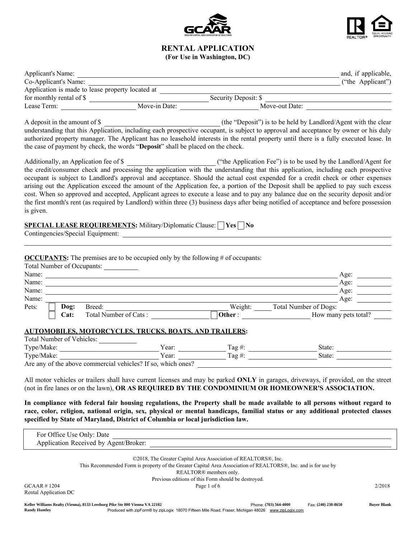



## RENTAL APPLICATION (For Use in Washington, DC)

| Applicant's Name:        |                                                  |                      | and, if applicable, |
|--------------------------|--------------------------------------------------|----------------------|---------------------|
| Co-Applicant's Name:     |                                                  |                      | ("the Applicant")   |
|                          | Application is made to lease property located at |                      |                     |
| for monthly rental of \$ |                                                  | Security Deposit: \$ |                     |
| Lease Term:              | Move-in Date:                                    | Move-out Date:       |                     |

A deposit in the amount of \$ (the "Deposit") is to be held by Landlord/Agent with the clear understanding that this Application, including each prospective occupant, is subject to approval and acceptance by owner or his duly authorized property manager. The Applicant has no leasehold interests in the rental property until there is a fully executed lease. In the case of payment by check, the words "Deposit" shall be placed on the check.

Additionally, an Application fee of \$ ("the Application Fee") is to be used by the Landlord/Agent for the credit/consumer check and processing the application with the understanding that this application, including each prospective occupant is subject to Landlord's approval and acceptance. Should the actual cost expended for a credit check or other expenses arising out the Application exceed the amount of the Application fee, a portion of the Deposit shall be applied to pay such excess cost. When so approved and accepted, Applicant agrees to execute a lease and to pay any balance due on the security deposit and/or the first month's rent (as required by Landlord) within three (3) business days after being notified of acceptance and before possession is given.

# **SPECIAL LEASE REQUIREMENTS:** Military/Diplomatic Clause:  $\Box$  Yes  $\Box$  No

Contingencies/Special Equipment:

OCCUPANTS: The premises are to be occupied only by the following # of occupants:

|       | Total Number of Occupants: |                       |         |                       |  |
|-------|----------------------------|-----------------------|---------|-----------------------|--|
| Name: |                            |                       |         | Age:                  |  |
| Name: |                            |                       |         | Age:                  |  |
| Name: |                            |                       |         | Age:                  |  |
| Name: |                            |                       |         | Age:                  |  |
| Pets: | Dog:                       | Breed:                | Weight: | Total Number of Dogs: |  |
|       | <b>Cat:</b>                | Total Number of Cats: | Other:  | How many pets total?  |  |

### AUTOMOBILES, MOTORCYCLES, TRUCKS, BOATS, AND TRAILERS:

| Total Number of Vehicles:                                    |       |          |        |
|--------------------------------------------------------------|-------|----------|--------|
| Type/Make:                                                   | Year: | $Taq \#$ | State: |
| Type/Make:                                                   | Year: | $Taq \#$ | State: |
| Are any of the above commercial vehicles? If so, which ones? |       |          |        |

All motor vehicles or trailers shall have current licenses and may be parked ONLY in garages, driveways, if provided, on the street (not in fire lanes or on the lawn), OR AS REQUIRED BY THE CONDOMINIUM OR HOMEOWNER'S ASSOCIATION.

In compliance with federal fair housing regulations, the Property shall be made available to all persons without regard to race, color, religion, national origin, sex, physical or mental handicaps, familial status or any additional protected classes specified by State of Maryland, District of Columbia or local jurisdiction law.

| For Office Use Only: Date             |              |  |  |  |  |
|---------------------------------------|--------------|--|--|--|--|
| Application Received by Agent/Broker: |              |  |  |  |  |
|                                       |              |  |  |  |  |
|                                       | CDP1T TQDQQT |  |  |  |  |

©2018, The Greater Capital Area Association of REALTORS®, Inc.

This Recommended Form is property of the Greater Capital Area Association of REALTORS®, Inc. and is for use by

REALTOR® members only.

Previous editions of this Form should be destroyed.

 $GCAAR \neq 1204$   $Page 1 of 6$   $2/2018$ Rental Application DC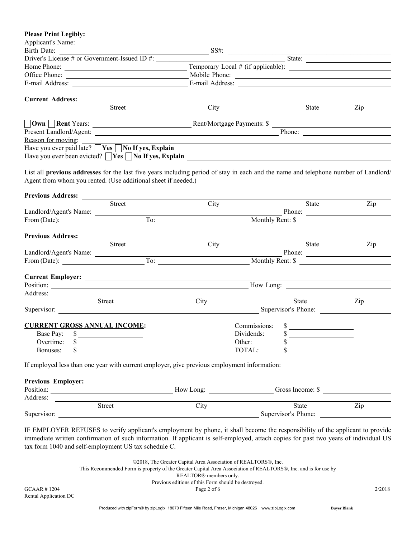| <b>Please Print Legibly:</b>                                                                                                                                        |                                                     |                                                                 |                  |                                                                                  |                  |
|---------------------------------------------------------------------------------------------------------------------------------------------------------------------|-----------------------------------------------------|-----------------------------------------------------------------|------------------|----------------------------------------------------------------------------------|------------------|
| Applicant's Name:                                                                                                                                                   |                                                     |                                                                 |                  |                                                                                  |                  |
| Birth Date:                                                                                                                                                         |                                                     | $\frac{1}{\sqrt{1-\frac{1}{2}}}\cos \frac{\theta}{\sin \theta}$ |                  |                                                                                  |                  |
| Driver's License # or Government-Issued ID #:                                                                                                                       |                                                     |                                                                 |                  | $\frac{1}{\sqrt{1-\frac{1}{2}}}\left  \frac{1}{2\sqrt{1-\frac{1}{2}}}\right $    |                  |
| Home Phone:                                                                                                                                                         |                                                     |                                                                 |                  |                                                                                  |                  |
| Office Phone:                                                                                                                                                       |                                                     |                                                                 |                  | Mobile Phone:                                                                    |                  |
|                                                                                                                                                                     |                                                     |                                                                 |                  | E-mail Address:                                                                  |                  |
| Current Address: _________                                                                                                                                          |                                                     |                                                                 |                  |                                                                                  |                  |
|                                                                                                                                                                     | Street                                              | City                                                            |                  | State                                                                            | Zip              |
| □ Own DRent Years: <u>Dental Access Rent/Mortgage Payments: \$</u>                                                                                                  |                                                     |                                                                 |                  |                                                                                  |                  |
|                                                                                                                                                                     |                                                     |                                                                 |                  |                                                                                  |                  |
| Reason for moving:                                                                                                                                                  |                                                     |                                                                 |                  |                                                                                  |                  |
| Have you ever paid late? $\Box$ Yes $\Box$ No If yes, Explain $\Box$                                                                                                |                                                     |                                                                 |                  |                                                                                  |                  |
|                                                                                                                                                                     |                                                     |                                                                 |                  |                                                                                  |                  |
| Agent from whom you rented. (Use additional sheet if needed.)                                                                                                       |                                                     |                                                                 |                  |                                                                                  |                  |
|                                                                                                                                                                     | Street                                              | City                                                            |                  | State                                                                            | Zip              |
| Landlord/Agent's Name:                                                                                                                                              |                                                     |                                                                 |                  |                                                                                  |                  |
|                                                                                                                                                                     |                                                     |                                                                 |                  |                                                                                  |                  |
| Previous Address:                                                                                                                                                   |                                                     |                                                                 |                  |                                                                                  |                  |
|                                                                                                                                                                     | Street                                              | City                                                            |                  | State                                                                            | Zip              |
| Landlord/Agent's Name:                                                                                                                                              |                                                     |                                                                 |                  | $-$ Phone: $-$                                                                   |                  |
|                                                                                                                                                                     |                                                     |                                                                 |                  | Monthly Rent: \$                                                                 |                  |
| From (Date): $\overline{\phantom{a}}$ To:                                                                                                                           |                                                     |                                                                 |                  |                                                                                  |                  |
|                                                                                                                                                                     |                                                     |                                                                 |                  |                                                                                  |                  |
|                                                                                                                                                                     |                                                     |                                                                 |                  |                                                                                  |                  |
|                                                                                                                                                                     |                                                     |                                                                 |                  |                                                                                  |                  |
|                                                                                                                                                                     | Street                                              | City                                                            |                  | State                                                                            | Zip              |
|                                                                                                                                                                     |                                                     |                                                                 |                  | Supervisor's Phone:                                                              |                  |
|                                                                                                                                                                     |                                                     |                                                                 |                  |                                                                                  |                  |
|                                                                                                                                                                     |                                                     |                                                                 | Commissions:     | $\sim$                                                                           |                  |
| Base Pay: \$                                                                                                                                                        |                                                     |                                                                 | Dividends:       | \$<br>the control of the control of the control of the control of the control of |                  |
| Position:<br>Address:<br>Supervisor:<br><b>CURRENT GROSS ANNUAL INCOME:</b><br>Overtime:<br>Bonuses:                                                                | <u> 1989 - Andrea Albert III, politik artista (</u> |                                                                 | Other:<br>TOTAL: |                                                                                  |                  |
|                                                                                                                                                                     |                                                     |                                                                 |                  | <u> 1990 - Jan Barbara III, martxa</u>                                           |                  |
|                                                                                                                                                                     |                                                     |                                                                 |                  |                                                                                  |                  |
|                                                                                                                                                                     |                                                     |                                                                 |                  |                                                                                  |                  |
|                                                                                                                                                                     |                                                     |                                                                 |                  |                                                                                  |                  |
| If employed less than one year with current employer, give previous employment information:<br>Previous Employer:<br>Position: Now Long: Now Long: Gross Income: \$ |                                                     |                                                                 |                  |                                                                                  |                  |
|                                                                                                                                                                     | Street                                              | City                                                            |                  | State<br>Supervisor's Phone:                                                     | $\overline{Zip}$ |

immediate written confirmation of such information. If applicant is self-employed, attach copies for past two years of individual US tax form 1040 and self-employment US tax schedule C.

©2018, The Greater Capital Area Association of REALTORS®, Inc. This Recommended Form is property of the Greater Capital Area Association of REALTORS®, Inc. and is for use by REALTOR® members only. Previous editions of this Form should be destroyed.  $GCAAR \neq 1204$   $Page 2 of 6$   $2/2018$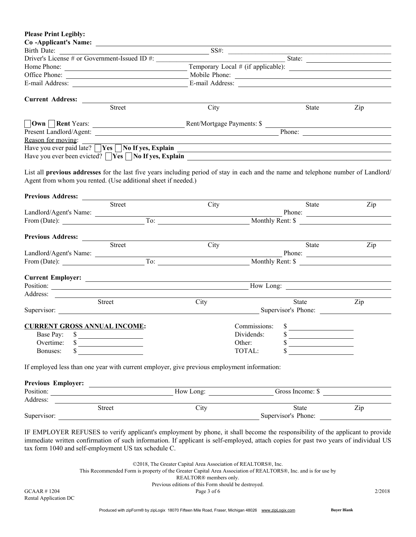| <b>Please Print Legibly:</b>                                                                                                                                                                                                                                                                                                                                                                                                                 |               |              |                                                      |     |
|----------------------------------------------------------------------------------------------------------------------------------------------------------------------------------------------------------------------------------------------------------------------------------------------------------------------------------------------------------------------------------------------------------------------------------------------|---------------|--------------|------------------------------------------------------|-----|
| Co-Applicant's Name:                                                                                                                                                                                                                                                                                                                                                                                                                         |               |              |                                                      |     |
| Birth Date:                                                                                                                                                                                                                                                                                                                                                                                                                                  |               | SS#:         |                                                      |     |
| Driver's License # or Government-Issued ID #:                                                                                                                                                                                                                                                                                                                                                                                                |               |              | State:                                               |     |
|                                                                                                                                                                                                                                                                                                                                                                                                                                              |               |              |                                                      |     |
| Office Phone:                                                                                                                                                                                                                                                                                                                                                                                                                                |               |              | Mobile Phone:                                        |     |
| E-mail Address:                                                                                                                                                                                                                                                                                                                                                                                                                              |               |              |                                                      |     |
| Current Address: _______                                                                                                                                                                                                                                                                                                                                                                                                                     |               |              |                                                      |     |
| Street                                                                                                                                                                                                                                                                                                                                                                                                                                       | City          |              | State                                                | Zip |
|                                                                                                                                                                                                                                                                                                                                                                                                                                              |               |              |                                                      |     |
|                                                                                                                                                                                                                                                                                                                                                                                                                                              |               |              |                                                      |     |
| Reason for moving:                                                                                                                                                                                                                                                                                                                                                                                                                           |               |              |                                                      |     |
|                                                                                                                                                                                                                                                                                                                                                                                                                                              |               |              |                                                      |     |
| Have you ever been evicted? $\Box$ Yes $\Box$ No If yes, Explain $\Box$                                                                                                                                                                                                                                                                                                                                                                      |               |              |                                                      |     |
| List all previous addresses for the last five years including period of stay in each and the name and telephone number of Landlord/                                                                                                                                                                                                                                                                                                          |               |              |                                                      |     |
| Agent from whom you rented. (Use additional sheet if needed.)                                                                                                                                                                                                                                                                                                                                                                                |               |              |                                                      |     |
|                                                                                                                                                                                                                                                                                                                                                                                                                                              |               |              |                                                      |     |
| Street                                                                                                                                                                                                                                                                                                                                                                                                                                       | City          |              | State                                                | Zip |
| Landlord/Agent's Name:                                                                                                                                                                                                                                                                                                                                                                                                                       |               |              | Phone:                                               |     |
| From (Date): $\qquad \qquad$                                                                                                                                                                                                                                                                                                                                                                                                                 | $\boxed{To:$  |              | Monthly Rent: \$                                     |     |
|                                                                                                                                                                                                                                                                                                                                                                                                                                              |               |              |                                                      |     |
| Previous Address:                                                                                                                                                                                                                                                                                                                                                                                                                            |               |              |                                                      |     |
| Street                                                                                                                                                                                                                                                                                                                                                                                                                                       | City          |              | State                                                | Zip |
| Landlord/Agent's Name:                                                                                                                                                                                                                                                                                                                                                                                                                       |               |              | Phone:                                               |     |
| From (Date): $\overline{\qquad \qquad}$ To:                                                                                                                                                                                                                                                                                                                                                                                                  |               |              | Monthly Rent: \$                                     |     |
|                                                                                                                                                                                                                                                                                                                                                                                                                                              |               |              |                                                      |     |
|                                                                                                                                                                                                                                                                                                                                                                                                                                              |               |              |                                                      |     |
| Position:<br>Address:                                                                                                                                                                                                                                                                                                                                                                                                                        |               |              |                                                      |     |
| Street                                                                                                                                                                                                                                                                                                                                                                                                                                       | City          |              | State                                                | Zip |
| Supervisor:                                                                                                                                                                                                                                                                                                                                                                                                                                  |               |              | Supervisor's Phone:                                  |     |
|                                                                                                                                                                                                                                                                                                                                                                                                                                              |               |              |                                                      |     |
| <b>CURRENT GROSS ANNUAL INCOME:</b>                                                                                                                                                                                                                                                                                                                                                                                                          |               | Commissions: | \$<br><u> 1989 - Jan Barbarat, politik politik (</u> |     |
| Base Pay: \$<br><u> 1989 - Johann Barn, mars ann an t-Amhain Aonaich an t-Aonaich an t-Aonaich ann an t-Aonaich ann an t-Aonaich</u>                                                                                                                                                                                                                                                                                                         |               | Dividends:   | \$                                                   |     |
| Overtime:<br><u> 1989 - Johann Barn, fransk politik (</u>                                                                                                                                                                                                                                                                                                                                                                                    |               | Other:       |                                                      |     |
| Bonuses:<br><u> 1989 - Jan Barbara Barbara, prima prima prima prima prima prima prima prima prima prima prima prima prima pri</u>                                                                                                                                                                                                                                                                                                            |               | TOTAL:       | <u> 1989 - Jan Samuel Barbara, politik a po</u>      |     |
| If employed less than one year with current employer, give previous employment information:                                                                                                                                                                                                                                                                                                                                                  |               |              |                                                      |     |
|                                                                                                                                                                                                                                                                                                                                                                                                                                              |               |              |                                                      |     |
|                                                                                                                                                                                                                                                                                                                                                                                                                                              |               | How Long:    | Gross Income: \$                                     |     |
| Address:<br>$\frac{1}{\sqrt{1+\frac{1}{\sqrt{1+\frac{1}{\sqrt{1+\frac{1}{\sqrt{1+\frac{1}{\sqrt{1+\frac{1}{\sqrt{1+\frac{1}{\sqrt{1+\frac{1}{\sqrt{1+\frac{1}{\sqrt{1+\frac{1}{\sqrt{1+\frac{1}{\sqrt{1+\frac{1}{\sqrt{1+\frac{1}{\sqrt{1+\frac{1}{\sqrt{1+\frac{1}{\sqrt{1+\frac{1}{\sqrt{1+\frac{1}{\sqrt{1+\frac{1}{\sqrt{1+\frac{1}{\sqrt{1+\frac{1}{\sqrt{1+\frac{1}{\sqrt{1+\frac{1}{1+\frac{1}{\sqrt{1+\frac{1}{1+\frac{1}{\sqrt{1+\$ |               |              |                                                      |     |
|                                                                                                                                                                                                                                                                                                                                                                                                                                              | $C_{\rm thr}$ |              | $\overline{\mathbf{C}_{\text{tot}}$                  | 7in |

|             | Street |                                                                                                                                                                                                                                             | <b>State</b>        | Z <sub>1</sub> p |
|-------------|--------|---------------------------------------------------------------------------------------------------------------------------------------------------------------------------------------------------------------------------------------------|---------------------|------------------|
| Supervisor: |        |                                                                                                                                                                                                                                             | Supervisor's Phone: |                  |
|             |        |                                                                                                                                                                                                                                             |                     |                  |
|             |        | <b>IF EVAN OVER REFUGEO 4</b> $\begin{pmatrix} 0 & 1 \end{pmatrix}$ and $\begin{pmatrix} 1 & 1 \end{pmatrix}$ and $\begin{pmatrix} 1 & 1 \end{pmatrix}$ and $\begin{pmatrix} 1 & 1 \end{pmatrix}$ and $\begin{pmatrix} 1 & 1 \end{pmatrix}$ |                     |                  |

IF EMPLOYER REFUSES to verify applicant's employment by phone, it shall become the responsibility of the applicant to provide immediate written confirmation of such information. If applicant is self-employed, attach copies for past two years of individual US tax form 1040 and self-employment US tax schedule C.

> ©2018, The Greater Capital Area Association of REALTORS®, Inc. This Recommended Form is property of the Greater Capital Area Association of REALTORS®, Inc. and is for use by REALTOR® members only. Previous editions of this Form should be destroyed.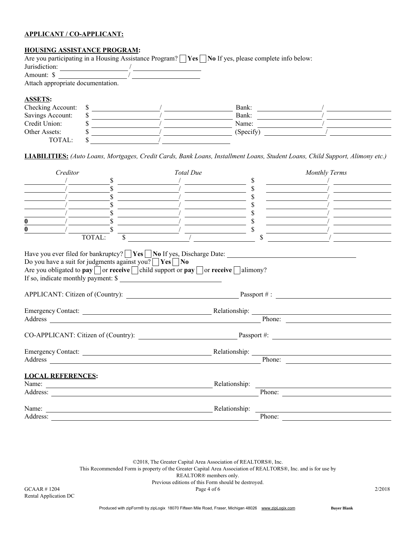#### APPLICANT / CO-APPLICANT:

#### HOUSING ASSISTANCE PROGRAM:

|                                   |  | Are you participating in a Housing Assistance Program?   Yes   No If yes, please complete info below: |  |
|-----------------------------------|--|-------------------------------------------------------------------------------------------------------|--|
| Jurisdiction:                     |  |                                                                                                       |  |
| Amount: \$                        |  |                                                                                                       |  |
| Attach appropriate documentation. |  |                                                                                                       |  |
| <b>ASSETS:</b>                    |  |                                                                                                       |  |
| Checking Account:                 |  | Bank:                                                                                                 |  |
| Savings Account:                  |  | Bank:                                                                                                 |  |
| Credit Union:                     |  | Name:                                                                                                 |  |
| Other Assets:                     |  | (Specify)                                                                                             |  |
| TOTAL:                            |  |                                                                                                       |  |

LIABILITIES: *(Auto Loans, Mortgages, Credit Cards, Bank Loans, Installment Loans, Student Loans, Child Support, Alimony etc.)*

| Creditor                                                                                                                                                                                                                                                                                                        | <b>Total Due</b>                                                                                                     | <b>Monthly Terms</b>                                                                                                                                                                                                                 |
|-----------------------------------------------------------------------------------------------------------------------------------------------------------------------------------------------------------------------------------------------------------------------------------------------------------------|----------------------------------------------------------------------------------------------------------------------|--------------------------------------------------------------------------------------------------------------------------------------------------------------------------------------------------------------------------------------|
| <sup>\$</sup>                                                                                                                                                                                                                                                                                                   | <u> 1980 - Jan Barbara Barbara, politik eta politik eta politik eta politik eta politik eta politik eta politik </u> | $\mathbb{S}$                                                                                                                                                                                                                         |
|                                                                                                                                                                                                                                                                                                                 |                                                                                                                      |                                                                                                                                                                                                                                      |
|                                                                                                                                                                                                                                                                                                                 | <u> The Common State of the Common State of</u>                                                                      |                                                                                                                                                                                                                                      |
|                                                                                                                                                                                                                                                                                                                 | <u>and the state of the state of the state</u>                                                                       |                                                                                                                                                                                                                                      |
| $\mathbf{0}$                                                                                                                                                                                                                                                                                                    | <u> 1990 - Andrea Andrew Maria (b. 1980)</u>                                                                         |                                                                                                                                                                                                                                      |
| $\bf{0}$                                                                                                                                                                                                                                                                                                        |                                                                                                                      | the control of the control of the control of                                                                                                                                                                                         |
| TOTAL:                                                                                                                                                                                                                                                                                                          |                                                                                                                      |                                                                                                                                                                                                                                      |
| Have you ever filed for bankruptcy? Yes No If yes, Discharge Date:<br>Do you have a suit for judgments against you? $\forall$ <b>Yes</b> $\forall$ <b>No</b><br>Are you obligated to pay $\Box$ or receive $\Box$ child support or pay $\Box$ or receive $\Box$ alimony?<br>If so, indicate monthly payment: \$ |                                                                                                                      |                                                                                                                                                                                                                                      |
|                                                                                                                                                                                                                                                                                                                 |                                                                                                                      |                                                                                                                                                                                                                                      |
|                                                                                                                                                                                                                                                                                                                 |                                                                                                                      |                                                                                                                                                                                                                                      |
|                                                                                                                                                                                                                                                                                                                 |                                                                                                                      |                                                                                                                                                                                                                                      |
|                                                                                                                                                                                                                                                                                                                 |                                                                                                                      | CO-APPLICANT: Citizen of (Country): Passport #:                                                                                                                                                                                      |
|                                                                                                                                                                                                                                                                                                                 |                                                                                                                      | Emergency Contact: <u>Contactive Contactive Contactive Contactive Contactive Contactive Contactive Contactive Contactive Contactive Contactive Contactive Contactive Contactive Contactive Contactive Contactive Contactive Cont</u> |
|                                                                                                                                                                                                                                                                                                                 |                                                                                                                      | Phone:                                                                                                                                                                                                                               |
| <b>LOCAL REFERENCES:</b>                                                                                                                                                                                                                                                                                        |                                                                                                                      |                                                                                                                                                                                                                                      |
| Name:                                                                                                                                                                                                                                                                                                           | Relationship:                                                                                                        |                                                                                                                                                                                                                                      |
|                                                                                                                                                                                                                                                                                                                 |                                                                                                                      | Phone: $\qquad \qquad$                                                                                                                                                                                                               |
|                                                                                                                                                                                                                                                                                                                 | Relationship:                                                                                                        |                                                                                                                                                                                                                                      |
| Address:                                                                                                                                                                                                                                                                                                        |                                                                                                                      | Phone:                                                                                                                                                                                                                               |

©2018, The Greater Capital Area Association of REALTORS®, Inc. This Recommended Form is property of the Greater Capital Area Association of REALTORS®, Inc. and is for use by REALTOR® members only. Previous editions of this Form should be destroyed.  $GCAAR \neq 1204$   $Page 4 of 6$   $2/2018$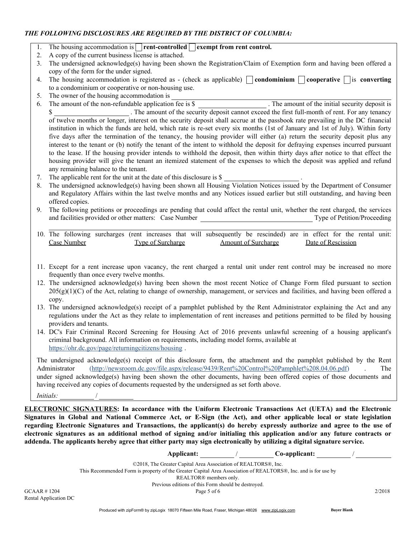# *THE FOLLOWING DISCLOSURES ARE REQUIRED BY THE DISTRICT OF COLUMBIA:*

- 1. The housing accommodation is  $\Box$  rent-controlled  $\Box$  exempt from rent control.
- 2. A copy of the current business license is attached.
- 3. The undersigned acknowledge(s) having been shown the Registration/Claim of Exemption form and having been offered a copy of the form for the under signed.
- 4. The housing accommodation is registered as (check as applicable) **condominium** cooperative is converting to a condominium or cooperative or non-housing use.
- 5. The owner of the housing accommodation is

6. The amount of the non-refundable application fee is \$ . The amount of the initial security deposit is \$ . The amount of the security deposit cannot exceed the first full-month of rent. For any tenancy of twelve months or longer, interest on the security deposit shall accrue at the passbook rate prevailing in the DC financial institution in which the funds are held, which rate is re-set every six months (1st of January and 1st of July). Within forty five days after the termination of the tenancy, the housing provider will either (a) return the security deposit plus any interest to the tenant or (b) notify the tenant of the intent to withhold the deposit for defraying expenses incurred pursuant to the lease. If the housing provider intends to withhold the deposit, then within thirty days after notice to that effect the housing provider will give the tenant an itemized statement of the expenses to which the deposit was applied and refund any remaining balance to the tenant.

- 7. The applicable rent for the unit at the date of this disclosure is \$
- 8. The undersigned acknowledge(s) having been shown all Housing Violation Notices issued by the Department of Consumer and Regulatory Affairs within the last twelve months and any Notices issued earlier but still outstanding, and having been offered copies.
- 9. The following petitions or proceedings are pending that could affect the rental unit, whether the rent charged, the services and facilities provided or other matters: Case Number Type of Petition/Proceeding
- 10. The following surcharges (rent increases that will subsequently be rescinded) are in effect for the rental unit: Case Number Type of Surcharge Amount of Surcharge Date of Rescission
- 11. Except for a rent increase upon vacancy, the rent charged a rental unit under rent control may be increased no more frequently than once every twelve months.
- 12. The undersigned acknowledge(s) having been shown the most recent Notice of Change Form filed pursuant to section  $205(g)(1)(C)$  of the Act, relating to change of ownership, management, or services and facilities, and having been offered a copy.
- 13. The undersigned acknowledge(s) receipt of a pamphlet published by the Rent Administrator explaining the Act and any regulations under the Act as they relate to implementation of rent increases and petitions permitted to be filed by housing providers and tenants.
- 14. DC's Fair Criminal Record Screening for Housing Act of 2016 prevents unlawful screening of a housing applicant's criminal background. All information on requirements, including model forms, available at https://ohr.dc.gov/page/returningcitizens/housing .

The undersigned acknowledge(s) receipt of this disclosure form, the attachment and the pamphlet published by the Rent Administrator (http://newsroom.dc.gov/file.aspx/release/9439/Rent%20Control%20Pamphlet%208.04.06.pdf) The under signed acknowledge(s) having been shown the other documents, having been offered copies of those documents and having received any copies of documents requested by the undersigned as set forth above. *Initials:* 

ELECTRONIC SIGNATURES: In accordance with the Uniform Electronic Transactions Act (UETA) and the Electronic Signatures in Global and National Commerce Act, or E-Sign (the Act), and other applicable local or state legislation regarding Electronic Signatures and Transactions, the applicant(s) do hereby expressly authorize and agree to the use of electronic signatures as an additional method of signing and/or initialing this application and/or any future contracts or addenda. The applicants hereby agree that either party may sign electronically by utilizing a digital signature service.

> Applicant: / Co-applicant: ©2018, The Greater Capital Area Association of REALTORS®, Inc. This Recommended Form is property of the Greater Capital Area Association of REALTORS®, Inc. and is for use by REALTOR® members only.

Previous editions of this Form should be destroyed.